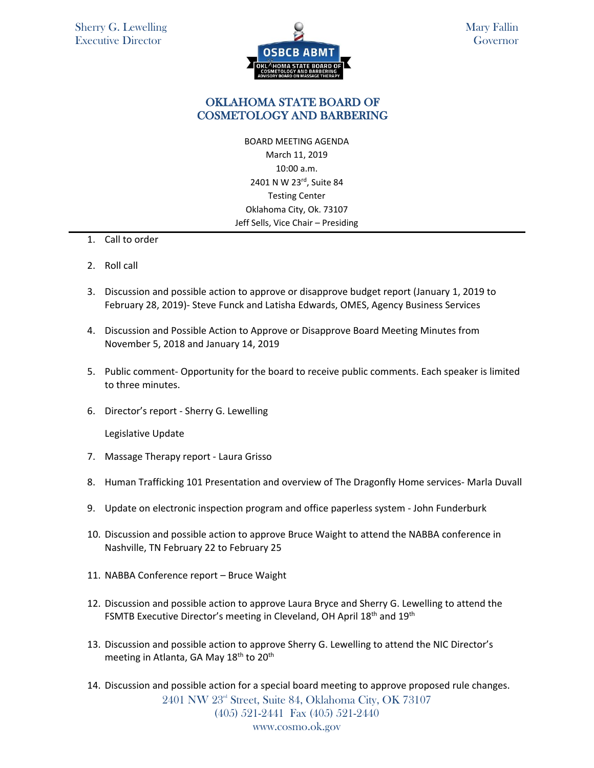

## OKLAHOMA STATE BOARD OF COSMETOLOGY AND BARBERING

BOARD MEETING AGENDA March 11, 2019 10:00 a.m. 2401 N W 23rd, Suite 84 Testing Center Oklahoma City, Ok. 73107 Jeff Sells, Vice Chair – Presiding

- 1. Call to order
- 2. Roll call
- 3. Discussion and possible action to approve or disapprove budget report (January 1, 2019 to February 28, 2019)- Steve Funck and Latisha Edwards, OMES, Agency Business Services
- 4. Discussion and Possible Action to Approve or Disapprove Board Meeting Minutes from November 5, 2018 and January 14, 2019
- 5. Public comment- Opportunity for the board to receive public comments. Each speaker is limited to three minutes.
- 6. Director's report Sherry G. Lewelling

Legislative Update

- 7. Massage Therapy report Laura Grisso
- 8. Human Trafficking 101 Presentation and overview of The Dragonfly Home services- Marla Duvall
- 9. Update on electronic inspection program and office paperless system John Funderburk
- 10. Discussion and possible action to approve Bruce Waight to attend the NABBA conference in Nashville, TN February 22 to February 25
- 11. NABBA Conference report Bruce Waight
- 12. Discussion and possible action to approve Laura Bryce and Sherry G. Lewelling to attend the FSMTB Executive Director's meeting in Cleveland, OH April 18<sup>th</sup> and 19<sup>th</sup>
- 13. Discussion and possible action to approve Sherry G. Lewelling to attend the NIC Director's meeting in Atlanta, GA May 18<sup>th</sup> to 20<sup>th</sup>
- 2401 NW 23<sup>rd</sup> Street, Suite 84, Oklahoma City, OK 73107 (405) 521-2441 Fax (405) 521-2440 www.cosmo.ok.gov 14. Discussion and possible action for a special board meeting to approve proposed rule changes.